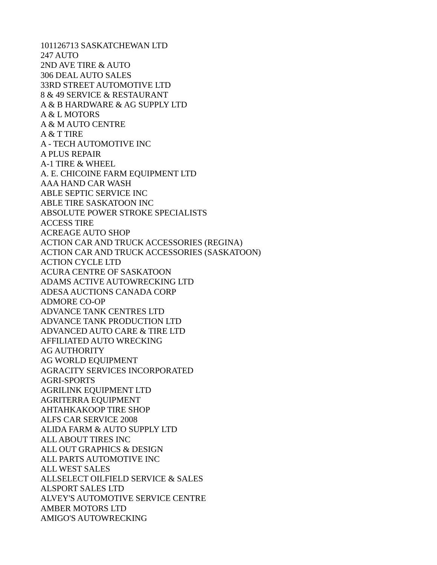101126713 SASKATCHEWAN LTD 247 AUTO 2ND AVE TIRE & AUTO 306 DEAL AUTO SALES 33RD STREET AUTOMOTIVE LTD 8 & 49 SERVICE & RESTAURANT A & B HARDWARE & AG SUPPLY LTD A & L MOTORS A & M AUTO CENTRE A & T TIRE A - TECH AUTOMOTIVE INC A PLUS REPAIR A-1 TIRE & WHEEL A. E. CHICOINE FARM EQUIPMENT LTD AAA HAND CAR WASH ABLE SEPTIC SERVICE INC ABLE TIRE SASKATOON INC ABSOLUTE POWER STROKE SPECIALISTS ACCESS TIRE ACREAGE AUTO SHOP ACTION CAR AND TRUCK ACCESSORIES (REGINA) ACTION CAR AND TRUCK ACCESSORIES (SASKATOON) ACTION CYCLE LTD ACURA CENTRE OF SASKATOON ADAMS ACTIVE AUTOWRECKING LTD ADESA AUCTIONS CANADA CORP ADMORE CO-OP ADVANCE TANK CENTRES LTD ADVANCE TANK PRODUCTION LTD ADVANCED AUTO CARE & TIRE LTD AFFILIATED AUTO WRECKING AG AUTHORITY AG WORLD EQUIPMENT AGRACITY SERVICES INCORPORATED AGRI-SPORTS AGRILINK EQUIPMENT LTD AGRITERRA EQUIPMENT AHTAHKAKOOP TIRE SHOP ALFS CAR SERVICE 2008 ALIDA FARM & AUTO SUPPLY LTD ALL ABOUT TIRES INC ALL OUT GRAPHICS & DESIGN ALL PARTS AUTOMOTIVE INC ALL WEST SALES ALLSELECT OILFIELD SERVICE & SALES ALSPORT SALES LTD ALVEY'S AUTOMOTIVE SERVICE CENTRE AMBER MOTORS LTD AMIGO'S AUTOWRECKING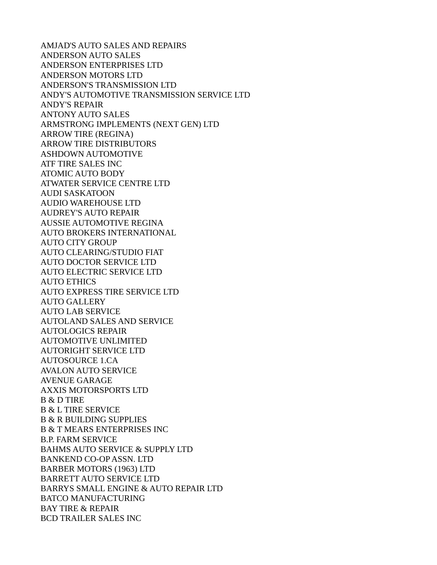AMJAD'S AUTO SALES AND REPAIRS ANDERSON AUTO SALES ANDERSON ENTERPRISES LTD ANDERSON MOTORS LTD ANDERSON'S TRANSMISSION LTD ANDY'S AUTOMOTIVE TRANSMISSION SERVICE LTD ANDY'S REPAIR ANTONY AUTO SALES ARMSTRONG IMPLEMENTS (NEXT GEN) LTD ARROW TIRE (REGINA) ARROW TIRE DISTRIBUTORS ASHDOWN AUTOMOTIVE ATF TIRE SALES INC ATOMIC AUTO BODY ATWATER SERVICE CENTRE LTD AUDI SASKATOON AUDIO WAREHOUSE LTD AUDREY'S AUTO REPAIR AUSSIE AUTOMOTIVE REGINA AUTO BROKERS INTERNATIONAL AUTO CITY GROUP AUTO CLEARING/STUDIO FIAT AUTO DOCTOR SERVICE LTD AUTO ELECTRIC SERVICE LTD AUTO ETHICS AUTO EXPRESS TIRE SERVICE LTD AUTO GALLERY AUTO LAB SERVICE AUTOLAND SALES AND SERVICE AUTOLOGICS REPAIR AUTOMOTIVE UNLIMITED AUTORIGHT SERVICE LTD AUTOSOURCE 1.CA AVALON AUTO SERVICE AVENUE GARAGE AXXIS MOTORSPORTS LTD B & D TIRE B & L TIRE SERVICE B & R BUILDING SUPPLIES B & T MEARS ENTERPRISES INC B.P. FARM SERVICE BAHMS AUTO SERVICE & SUPPLY LTD BANKEND CO-OP ASSN. LTD BARBER MOTORS (1963) LTD BARRETT AUTO SERVICE LTD BARRYS SMALL ENGINE & AUTO REPAIR LTD BATCO MANUFACTURING BAY TIRE & REPAIR BCD TRAILER SALES INC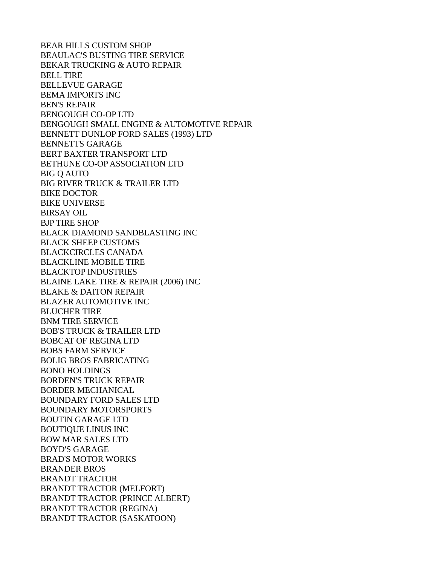BEAR HILLS CUSTOM SHOP BEAULAC'S BUSTING TIRE SERVICE BEKAR TRUCKING & AUTO REPAIR BELL TIRE BELLEVUE GARAGE BEMA IMPORTS INC BEN'S REPAIR BENGOUGH CO-OP LTD BENGOUGH SMALL ENGINE & AUTOMOTIVE REPAIR BENNETT DUNLOP FORD SALES (1993) LTD BENNETTS GARAGE BERT BAXTER TRANSPORT LTD BETHUNE CO-OP ASSOCIATION LTD BIG Q AUTO BIG RIVER TRUCK & TRAILER LTD BIKE DOCTOR BIKE UNIVERSE BIRSAY OIL BJP TIRE SHOP BLACK DIAMOND SANDBLASTING INC BLACK SHEEP CUSTOMS BLACKCIRCLES CANADA BLACKLINE MOBILE TIRE BLACKTOP INDUSTRIES BLAINE LAKE TIRE & REPAIR (2006) INC BLAKE & DAITON REPAIR BLAZER AUTOMOTIVE INC BLUCHER TIRE BNM TIRE SERVICE BOB'S TRUCK & TRAILER LTD BOBCAT OF REGINA LTD BOBS FARM SERVICE BOLIG BROS FABRICATING BONO HOLDINGS BORDEN'S TRUCK REPAIR BORDER MECHANICAL BOUNDARY FORD SALES LTD BOUNDARY MOTORSPORTS BOUTIN GARAGE LTD BOUTIQUE LINUS INC BOW MAR SALES LTD BOYD'S GARAGE BRAD'S MOTOR WORKS BRANDER BROS BRANDT TRACTOR BRANDT TRACTOR (MELFORT) BRANDT TRACTOR (PRINCE ALBERT) BRANDT TRACTOR (REGINA) BRANDT TRACTOR (SASKATOON)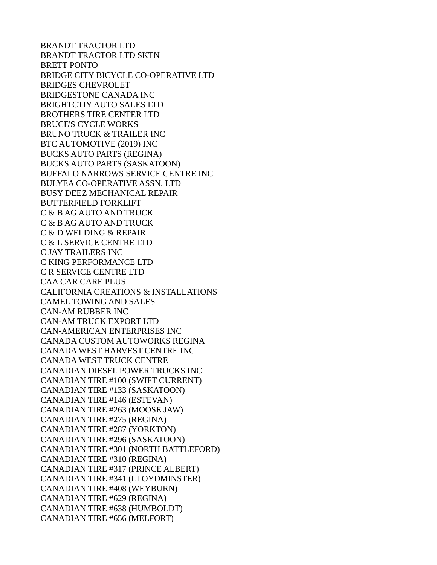BRANDT TRACTOR LTD BRANDT TRACTOR LTD SKTN BRETT PONTO BRIDGE CITY BICYCLE CO-OPERATIVE LTD BRIDGES CHEVROLET BRIDGESTONE CANADA INC BRIGHTCTIY AUTO SALES LTD BROTHERS TIRE CENTER LTD BRUCE'S CYCLE WORKS BRUNO TRUCK & TRAILER INC BTC AUTOMOTIVE (2019) INC BUCKS AUTO PARTS (REGINA) BUCKS AUTO PARTS (SASKATOON) BUFFALO NARROWS SERVICE CENTRE INC BULYEA CO-OPERATIVE ASSN. LTD BUSY DEEZ MECHANICAL REPAIR BUTTERFIELD FORKLIFT C & B AG AUTO AND TRUCK C & B AG AUTO AND TRUCK C & D WELDING & REPAIR C & L SERVICE CENTRE LTD C JAY TRAILERS INC C KING PERFORMANCE LTD C R SERVICE CENTRE LTD CAA CAR CARE PLUS CALIFORNIA CREATIONS & INSTALLATIONS CAMEL TOWING AND SALES CAN-AM RUBBER INC CAN-AM TRUCK EXPORT LTD CAN-AMERICAN ENTERPRISES INC CANADA CUSTOM AUTOWORKS REGINA CANADA WEST HARVEST CENTRE INC CANADA WEST TRUCK CENTRE CANADIAN DIESEL POWER TRUCKS INC CANADIAN TIRE #100 (SWIFT CURRENT) CANADIAN TIRE #133 (SASKATOON) CANADIAN TIRE #146 (ESTEVAN) CANADIAN TIRE #263 (MOOSE JAW) CANADIAN TIRE #275 (REGINA) CANADIAN TIRE #287 (YORKTON) CANADIAN TIRE #296 (SASKATOON) CANADIAN TIRE #301 (NORTH BATTLEFORD) CANADIAN TIRE #310 (REGINA) CANADIAN TIRE #317 (PRINCE ALBERT) CANADIAN TIRE #341 (LLOYDMINSTER) CANADIAN TIRE #408 (WEYBURN) CANADIAN TIRE #629 (REGINA) CANADIAN TIRE #638 (HUMBOLDT) CANADIAN TIRE #656 (MELFORT)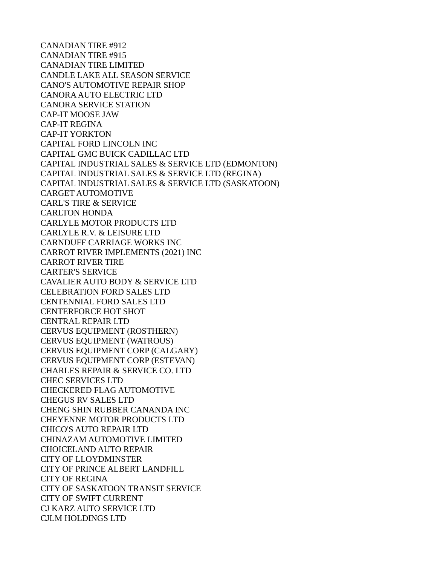CANADIAN TIRE #912 CANADIAN TIRE #915 CANADIAN TIRE LIMITED CANDLE LAKE ALL SEASON SERVICE CANO'S AUTOMOTIVE REPAIR SHOP CANORA AUTO ELECTRIC LTD CANORA SERVICE STATION CAP-IT MOOSE JAW CAP-IT REGINA CAP-IT YORKTON CAPITAL FORD LINCOLN INC CAPITAL GMC BUICK CADILLAC LTD CAPITAL INDUSTRIAL SALES & SERVICE LTD (EDMONTON) CAPITAL INDUSTRIAL SALES & SERVICE LTD (REGINA) CAPITAL INDUSTRIAL SALES & SERVICE LTD (SASKATOON) CARGET AUTOMOTIVE CARL'S TIRE & SERVICE CARLTON HONDA CARLYLE MOTOR PRODUCTS LTD CARLYLE R.V. & LEISURE LTD CARNDUFF CARRIAGE WORKS INC CARROT RIVER IMPLEMENTS (2021) INC CARROT RIVER TIRE CARTER'S SERVICE CAVALIER AUTO BODY & SERVICE LTD CELEBRATION FORD SALES LTD CENTENNIAL FORD SALES LTD CENTERFORCE HOT SHOT CENTRAL REPAIR LTD CERVUS EQUIPMENT (ROSTHERN) CERVUS EQUIPMENT (WATROUS) CERVUS EQUIPMENT CORP (CALGARY) CERVUS EQUIPMENT CORP (ESTEVAN) CHARLES REPAIR & SERVICE CO. LTD CHEC SERVICES LTD CHECKERED FLAG AUTOMOTIVE CHEGUS RV SALES LTD CHENG SHIN RUBBER CANANDA INC CHEYENNE MOTOR PRODUCTS LTD CHICO'S AUTO REPAIR LTD CHINAZAM AUTOMOTIVE LIMITED CHOICELAND AUTO REPAIR CITY OF LLOYDMINSTER CITY OF PRINCE ALBERT LANDFILL CITY OF REGINA CITY OF SASKATOON TRANSIT SERVICE CITY OF SWIFT CURRENT CJ KARZ AUTO SERVICE LTD CJLM HOLDINGS LTD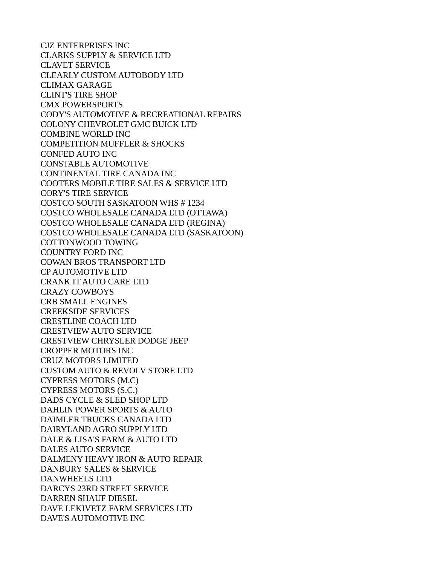CJZ ENTERPRISES INC CLARKS SUPPLY & SERVICE LTD CLAVET SERVICE CLEARLY CUSTOM AUTOBODY LTD CLIMAX GARAGE CLINT'S TIRE SHOP CMX POWERSPORTS CODY'S AUTOMOTIVE & RECREATIONAL REPAIRS COLONY CHEVROLET GMC BUICK LTD COMBINE WORLD INC COMPETITION MUFFLER & SHOCKS CONFED AUTO INC CONSTABLE AUTOMOTIVE CONTINENTAL TIRE CANADA INC COOTERS MOBILE TIRE SALES & SERVICE LTD CORY'S TIRE SERVICE COSTCO SOUTH SASKATOON WHS # 1234 COSTCO WHOLESALE CANADA LTD (OTTAWA) COSTCO WHOLESALE CANADA LTD (REGINA) COSTCO WHOLESALE CANADA LTD (SASKATOON) COTTONWOOD TOWING COUNTRY FORD INC COWAN BROS TRANSPORT LTD CP AUTOMOTIVE LTD CRANK IT AUTO CARE LTD CRAZY COWBOYS CRB SMALL ENGINES CREEKSIDE SERVICES CRESTLINE COACH LTD CRESTVIEW AUTO SERVICE CRESTVIEW CHRYSLER DODGE JEEP CROPPER MOTORS INC CRUZ MOTORS LIMITED CUSTOM AUTO & REVOLV STORE LTD CYPRESS MOTORS (M.C) CYPRESS MOTORS (S.C.) DADS CYCLE & SLED SHOP LTD DAHLIN POWER SPORTS & AUTO DAIMLER TRUCKS CANADA LTD DAIRYLAND AGRO SUPPLY LTD DALE & LISA'S FARM & AUTO LTD DALES AUTO SERVICE DALMENY HEAVY IRON & AUTO REPAIR DANBURY SALES & SERVICE DANWHEELS LTD DARCYS 23RD STREET SERVICE DARREN SHAUF DIESEL DAVE LEKIVETZ FARM SERVICES LTD DAVE'S AUTOMOTIVE INC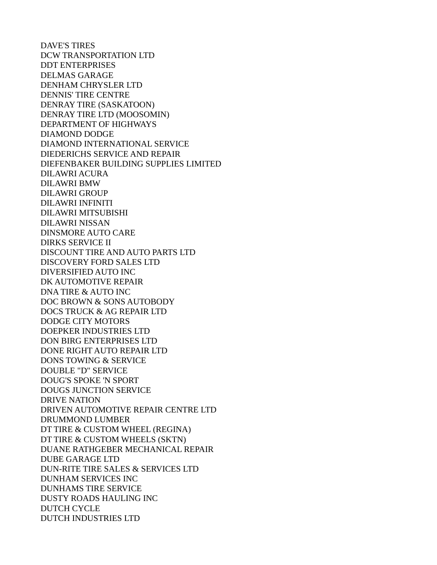DAVE'S TIRES DCW TRANSPORTATION LTD DDT ENTERPRISES DELMAS GARAGE DENHAM CHRYSLER LTD DENNIS' TIRE CENTRE DENRAY TIRE (SASKATOON) DENRAY TIRE LTD (MOOSOMIN) DEPARTMENT OF HIGHWAYS DIAMOND DODGE DIAMOND INTERNATIONAL SERVICE DIEDERICHS SERVICE AND REPAIR DIEFENBAKER BUILDING SUPPLIES LIMITED DILAWRI ACURA DILAWRI BMW DILAWRI GROUP DILAWRI INFINITI DILAWRI MITSUBISHI DILAWRI NISSAN DINSMORE AUTO CARE DIRKS SERVICE II DISCOUNT TIRE AND AUTO PARTS LTD DISCOVERY FORD SALES LTD DIVERSIFIED AUTO INC DK AUTOMOTIVE REPAIR DNA TIRE & AUTO INC DOC BROWN & SONS AUTOBODY DOCS TRUCK & AG REPAIR LTD DODGE CITY MOTORS DOEPKER INDUSTRIES LTD DON BIRG ENTERPRISES LTD DONE RIGHT AUTO REPAIR LTD DONS TOWING & SERVICE DOUBLE "D" SERVICE DOUG'S SPOKE 'N SPORT DOUGS JUNCTION SERVICE DRIVE NATION DRIVEN AUTOMOTIVE REPAIR CENTRE LTD DRUMMOND LUMBER DT TIRE & CUSTOM WHEEL (REGINA) DT TIRE & CUSTOM WHEELS (SKTN) DUANE RATHGEBER MECHANICAL REPAIR DUBE GARAGE LTD DUN-RITE TIRE SALES & SERVICES LTD DUNHAM SERVICES INC DUNHAMS TIRE SERVICE DUSTY ROADS HAULING INC DUTCH CYCLE DUTCH INDUSTRIES LTD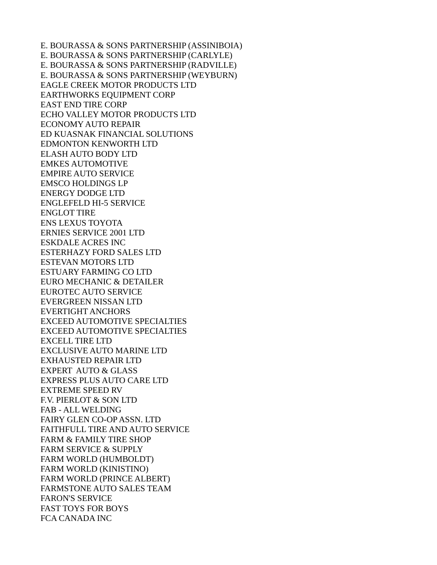E. BOURASSA & SONS PARTNERSHIP (ASSINIBOIA) E. BOURASSA & SONS PARTNERSHIP (CARLYLE) E. BOURASSA & SONS PARTNERSHIP (RADVILLE) E. BOURASSA & SONS PARTNERSHIP (WEYBURN) EAGLE CREEK MOTOR PRODUCTS LTD EARTHWORKS EQUIPMENT CORP EAST END TIRE CORP ECHO VALLEY MOTOR PRODUCTS LTD ECONOMY AUTO REPAIR ED KUASNAK FINANCIAL SOLUTIONS EDMONTON KENWORTH LTD ELASH AUTO BODY LTD EMKES AUTOMOTIVE EMPIRE AUTO SERVICE EMSCO HOLDINGS LP ENERGY DODGE LTD ENGLEFELD HI-5 SERVICE ENGLOT TIRE ENS LEXUS TOYOTA ERNIES SERVICE 2001 LTD ESKDALE ACRES INC ESTERHAZY FORD SALES LTD ESTEVAN MOTORS LTD ESTUARY FARMING CO LTD EURO MECHANIC & DETAILER EUROTEC AUTO SERVICE EVERGREEN NISSAN LTD EVERTIGHT ANCHORS EXCEED AUTOMOTIVE SPECIALTIES EXCEED AUTOMOTIVE SPECIALTIES EXCELL TIRE LTD EXCLUSIVE AUTO MARINE LTD EXHAUSTED REPAIR LTD EXPERT AUTO & GLASS EXPRESS PLUS AUTO CARE LTD EXTREME SPEED RV F.V. PIERLOT & SON LTD FAB - ALL WELDING FAIRY GLEN CO-OP ASSN. LTD FAITHFULL TIRE AND AUTO SERVICE FARM & FAMILY TIRE SHOP FARM SERVICE & SUPPLY FARM WORLD (HUMBOLDT) FARM WORLD (KINISTINO) FARM WORLD (PRINCE ALBERT) FARMSTONE AUTO SALES TEAM FARON'S SERVICE FAST TOYS FOR BOYS FCA CANADA INC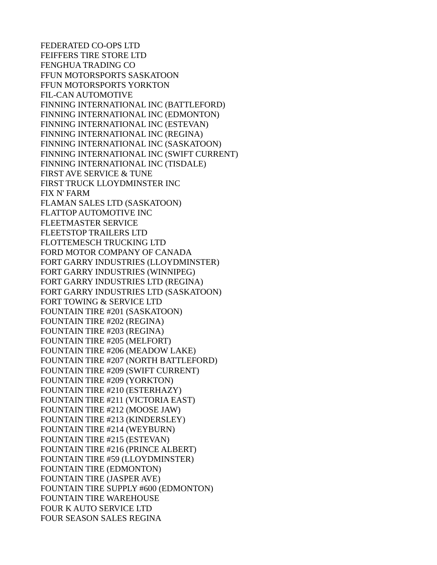FEDERATED CO-OPS LTD FEIFFERS TIRE STORE LTD FENGHUA TRADING CO FFUN MOTORSPORTS SASKATOON FFUN MOTORSPORTS YORKTON FIL-CAN AUTOMOTIVE FINNING INTERNATIONAL INC (BATTLEFORD) FINNING INTERNATIONAL INC (EDMONTON) FINNING INTERNATIONAL INC (ESTEVAN) FINNING INTERNATIONAL INC (REGINA) FINNING INTERNATIONAL INC (SASKATOON) FINNING INTERNATIONAL INC (SWIFT CURRENT) FINNING INTERNATIONAL INC (TISDALE) FIRST AVE SERVICE & TUNE FIRST TRUCK LLOYDMINSTER INC FIX N' FARM FLAMAN SALES LTD (SASKATOON) FLATTOP AUTOMOTIVE INC FLEETMASTER SERVICE FLEETSTOP TRAILERS LTD FLOTTEMESCH TRUCKING LTD FORD MOTOR COMPANY OF CANADA FORT GARRY INDUSTRIES (LLOYDMINSTER) FORT GARRY INDUSTRIES (WINNIPEG) FORT GARRY INDUSTRIES LTD (REGINA) FORT GARRY INDUSTRIES LTD (SASKATOON) FORT TOWING & SERVICE LTD FOUNTAIN TIRE #201 (SASKATOON) FOUNTAIN TIRE #202 (REGINA) FOUNTAIN TIRE #203 (REGINA) FOUNTAIN TIRE #205 (MELFORT) FOUNTAIN TIRE #206 (MEADOW LAKE) FOUNTAIN TIRE #207 (NORTH BATTLEFORD) FOUNTAIN TIRE #209 (SWIFT CURRENT) FOUNTAIN TIRE #209 (YORKTON) FOUNTAIN TIRE #210 (ESTERHAZY) FOUNTAIN TIRE #211 (VICTORIA EAST) FOUNTAIN TIRE #212 (MOOSE JAW) FOUNTAIN TIRE #213 (KINDERSLEY) FOUNTAIN TIRE #214 (WEYBURN) FOUNTAIN TIRE #215 (ESTEVAN) FOUNTAIN TIRE #216 (PRINCE ALBERT) FOUNTAIN TIRE #59 (LLOYDMINSTER) FOUNTAIN TIRE (EDMONTON) FOUNTAIN TIRE (JASPER AVE) FOUNTAIN TIRE SUPPLY #600 (EDMONTON) FOUNTAIN TIRE WAREHOUSE FOUR K AUTO SERVICE LTD FOUR SEASON SALES REGINA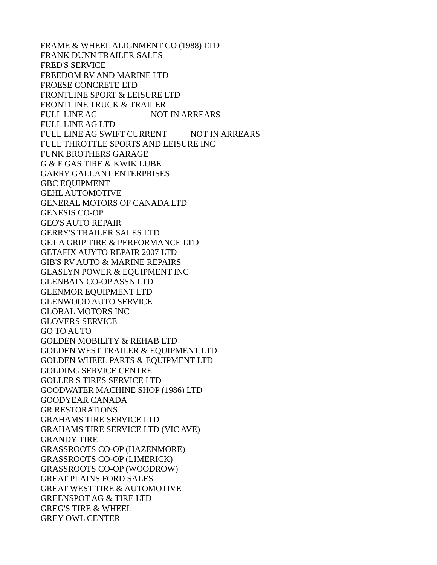FRAME & WHEEL ALIGNMENT CO (1988) LTD FRANK DUNN TRAILER SALES FRED'S SERVICE FREEDOM RV AND MARINE LTD FROESE CONCRETE LTD FRONTLINE SPORT & LEISURE LTD FRONTLINE TRUCK & TRAILER FULL LINE AG NOT IN ARREARS FULL LINE AG LTD FULL LINE AG SWIFT CURRENT NOT IN ARREARS FULL THROTTLE SPORTS AND LEISURE INC FUNK BROTHERS GARAGE G & F GAS TIRE & KWIK LUBE GARRY GALLANT ENTERPRISES GBC EQUIPMENT GEHL AUTOMOTIVE GENERAL MOTORS OF CANADA LTD GENESIS CO-OP GEO'S AUTO REPAIR GERRY'S TRAILER SALES LTD GET A GRIP TIRE & PERFORMANCE LTD GETAFIX AUYTO REPAIR 2007 LTD GIB'S RV AUTO & MARINE REPAIRS GLASLYN POWER & EQUIPMENT INC GLENBAIN CO-OP ASSN LTD GLENMOR EQUIPMENT LTD GLENWOOD AUTO SERVICE GLOBAL MOTORS INC GLOVERS SERVICE GO TO AUTO GOLDEN MOBILITY & REHAB LTD GOLDEN WEST TRAILER & EQUIPMENT LTD GOLDEN WHEEL PARTS & EQUIPMENT LTD GOLDING SERVICE CENTRE GOLLER'S TIRES SERVICE LTD GOODWATER MACHINE SHOP (1986) LTD GOODYEAR CANADA GR RESTORATIONS GRAHAMS TIRE SERVICE LTD GRAHAMS TIRE SERVICE LTD (VIC AVE) GRANDY TIRE GRASSROOTS CO-OP (HAZENMORE) GRASSROOTS CO-OP (LIMERICK) GRASSROOTS CO-OP (WOODROW) GREAT PLAINS FORD SALES GREAT WEST TIRE & AUTOMOTIVE GREENSPOT AG & TIRE LTD GREG'S TIRE & WHEEL GREY OWL CENTER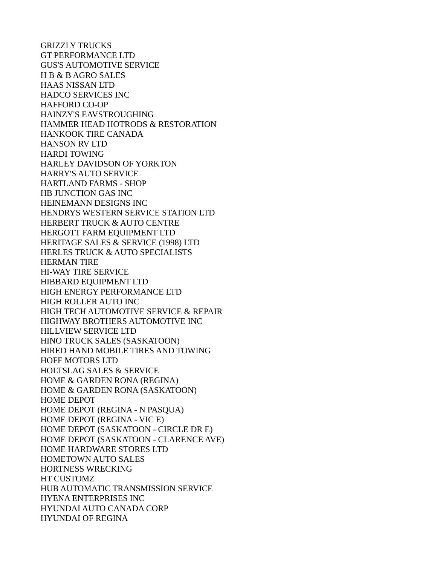GRIZZLY TRUCKS GT PERFORMANCE LTD GUS'S AUTOMOTIVE SERVICE H B & B AGRO SALES HAAS NISSAN LTD HADCO SERVICES INC HAFFORD CO-OP HAINZY'S EAVSTROUGHING HAMMER HEAD HOTRODS & RESTORATION HANKOOK TIRE CANADA HANSON RV LTD HARDI TOWING HARLEY DAVIDSON OF YORKTON HARRY'S AUTO SERVICE HARTLAND FARMS - SHOP HB JUNCTION GAS INC HEINEMANN DESIGNS INC HENDRYS WESTERN SERVICE STATION LTD HERBERT TRUCK & AUTO CENTRE HERGOTT FARM EQUIPMENT LTD HERITAGE SALES & SERVICE (1998) LTD HERLES TRUCK & AUTO SPECIALISTS HERMAN TIRE HI-WAY TIRE SERVICE HIBBARD EQUIPMENT LTD HIGH ENERGY PERFORMANCE LTD HIGH ROLLER AUTO INC HIGH TECH AUTOMOTIVE SERVICE & REPAIR HIGHWAY BROTHERS AUTOMOTIVE INC HILLVIEW SERVICE LTD HINO TRUCK SALES (SASKATOON) HIRED HAND MOBILE TIRES AND TOWING HOFF MOTORS LTD HOLTSLAG SALES & SERVICE HOME & GARDEN RONA (REGINA) HOME & GARDEN RONA (SASKATOON) HOME DEPOT HOME DEPOT (REGINA - N PASQUA) HOME DEPOT (REGINA - VIC E) HOME DEPOT (SASKATOON - CIRCLE DR E) HOME DEPOT (SASKATOON - CLARENCE AVE) HOME HARDWARE STORES LTD HOMETOWN AUTO SALES HORTNESS WRECKING HT CUSTOMZ HUB AUTOMATIC TRANSMISSION SERVICE HYENA ENTERPRISES INC HYUNDAI AUTO CANADA CORP HYUNDAI OF REGINA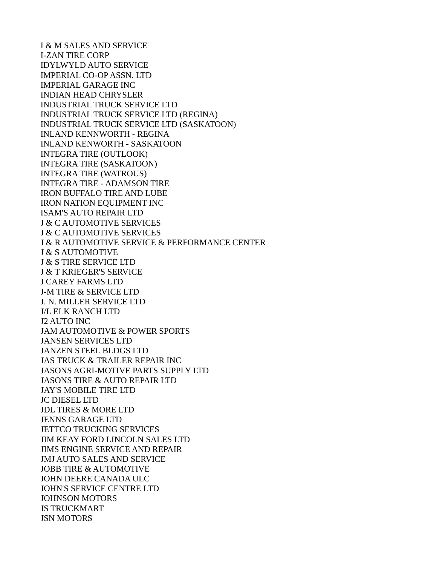I & M SALES AND SERVICE I-ZAN TIRE CORP IDYLWYLD AUTO SERVICE IMPERIAL CO-OP ASSN. LTD IMPERIAL GARAGE INC INDIAN HEAD CHRYSLER INDUSTRIAL TRUCK SERVICE LTD INDUSTRIAL TRUCK SERVICE LTD (REGINA) INDUSTRIAL TRUCK SERVICE LTD (SASKATOON) INLAND KENNWORTH - REGINA INLAND KENWORTH - SASKATOON INTEGRA TIRE (OUTLOOK) INTEGRA TIRE (SASKATOON) INTEGRA TIRE (WATROUS) INTEGRA TIRE - ADAMSON TIRE IRON BUFFALO TIRE AND LUBE IRON NATION EQUIPMENT INC ISAM'S AUTO REPAIR LTD J & C AUTOMOTIVE SERVICES J & C AUTOMOTIVE SERVICES J & R AUTOMOTIVE SERVICE & PERFORMANCE CENTER J & S AUTOMOTIVE J & S TIRE SERVICE LTD J & T KRIEGER'S SERVICE J CAREY FARMS LTD J-M TIRE & SERVICE LTD J. N. MILLER SERVICE LTD J/L ELK RANCH LTD J2 AUTO INC JAM AUTOMOTIVE & POWER SPORTS JANSEN SERVICES LTD JANZEN STEEL BLDGS LTD JAS TRUCK & TRAILER REPAIR INC JASONS AGRI-MOTIVE PARTS SUPPLY LTD JASONS TIRE & AUTO REPAIR LTD JAY'S MOBILE TIRE LTD JC DIESEL LTD JDL TIRES & MORE LTD JENNS GARAGE LTD JETTCO TRUCKING SERVICES JIM KEAY FORD LINCOLN SALES LTD JIMS ENGINE SERVICE AND REPAIR JMJ AUTO SALES AND SERVICE JOBB TIRE & AUTOMOTIVE JOHN DEERE CANADA ULC JOHN'S SERVICE CENTRE LTD JOHNSON MOTORS JS TRUCKMART JSN MOTORS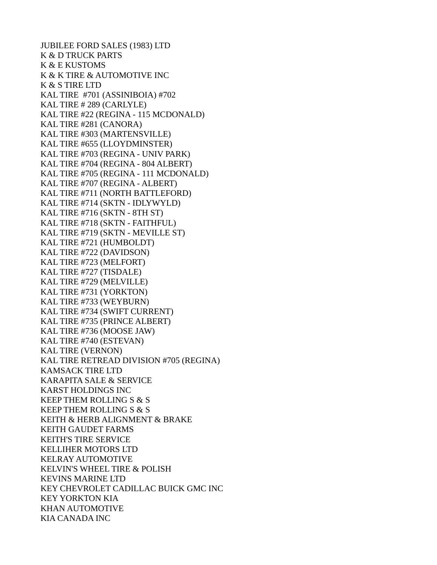JUBILEE FORD SALES (1983) LTD K & D TRUCK PARTS K & E KUSTOMS K & K TIRE & AUTOMOTIVE INC K & S TIRE LTD KAL TIRE #701 (ASSINIBOIA) #702 KAL TIRE # 289 (CARLYLE) KAL TIRE #22 (REGINA - 115 MCDONALD) KAL TIRE #281 (CANORA) KAL TIRE #303 (MARTENSVILLE) KAL TIRE #655 (LLOYDMINSTER) KAL TIRE #703 (REGINA - UNIV PARK) KAL TIRE #704 (REGINA - 804 ALBERT) KAL TIRE #705 (REGINA - 111 MCDONALD) KAL TIRE #707 (REGINA - ALBERT) KAL TIRE #711 (NORTH BATTLEFORD) KAL TIRE #714 (SKTN - IDLYWYLD) KAL TIRE #716 (SKTN - 8TH ST) KAL TIRE #718 (SKTN - FAITHFUL) KAL TIRE #719 (SKTN - MEVILLE ST) KAL TIRE #721 (HUMBOLDT) KAL TIRE #722 (DAVIDSON) KAL TIRE #723 (MELFORT) KAL TIRE #727 (TISDALE) KAL TIRE #729 (MELVILLE) KAL TIRE #731 (YORKTON) KAL TIRE #733 (WEYBURN) KAL TIRE #734 (SWIFT CURRENT) KAL TIRE #735 (PRINCE ALBERT) KAL TIRE #736 (MOOSE JAW) KAL TIRE #740 (ESTEVAN) KAL TIRE (VERNON) KAL TIRE RETREAD DIVISION #705 (REGINA) KAMSACK TIRE LTD KARAPITA SALE & SERVICE KARST HOLDINGS INC KEEP THEM ROLLING S & S KEEP THEM ROLLING S & S KEITH & HERB ALIGNMENT & BRAKE KEITH GAUDET FARMS KEITH'S TIRE SERVICE KELLIHER MOTORS LTD KELRAY AUTOMOTIVE KELVIN'S WHEEL TIRE & POLISH KEVINS MARINE LTD KEY CHEVROLET CADILLAC BUICK GMC INC KEY YORKTON KIA KHAN AUTOMOTIVE KIA CANADA INC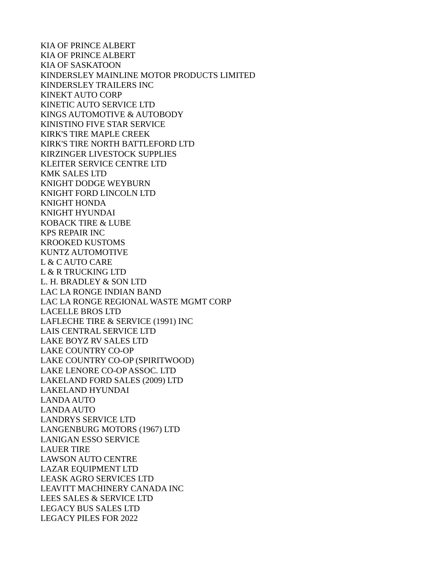KIA OF PRINCE ALBERT KIA OF PRINCE ALBERT KIA OF SASKATOON KINDERSLEY MAINLINE MOTOR PRODUCTS LIMITED KINDERSLEY TRAILERS INC KINEKT AUTO CORP KINETIC AUTO SERVICE LTD KINGS AUTOMOTIVE & AUTOBODY KINISTINO FIVE STAR SERVICE KIRK'S TIRE MAPLE CREEK KIRK'S TIRE NORTH BATTLEFORD LTD KIRZINGER LIVESTOCK SUPPLIES KLEITER SERVICE CENTRE LTD KMK SALES LTD KNIGHT DODGE WEYBURN KNIGHT FORD LINCOLN LTD KNIGHT HONDA KNIGHT HYUNDAI KOBACK TIRE & LUBE KPS REPAIR INC KROOKED KUSTOMS KUNTZ AUTOMOTIVE L & C AUTO CARE L & R TRUCKING LTD L. H. BRADLEY & SON LTD LAC LA RONGE INDIAN BAND LAC LA RONGE REGIONAL WASTE MGMT CORP LACELLE BROS LTD LAFLECHE TIRE & SERVICE (1991) INC LAIS CENTRAL SERVICE LTD LAKE BOYZ RV SALES LTD LAKE COUNTRY CO-OP LAKE COUNTRY CO-OP (SPIRITWOOD) LAKE LENORE CO-OP ASSOC. LTD LAKELAND FORD SALES (2009) LTD LAKELAND HYUNDAI LANDA AUTO LANDA AUTO LANDRYS SERVICE LTD LANGENBURG MOTORS (1967) LTD LANIGAN ESSO SERVICE LAUER TIRE LAWSON AUTO CENTRE LAZAR EQUIPMENT LTD LEASK AGRO SERVICES LTD LEAVITT MACHINERY CANADA INC LEES SALES & SERVICE LTD LEGACY BUS SALES LTD LEGACY PILES FOR 2022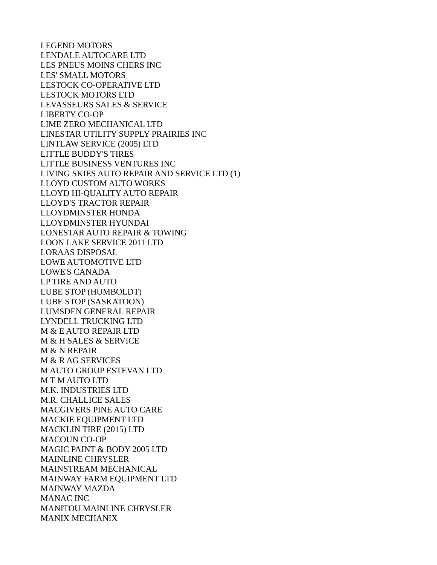LEGEND MOTORS LENDALE AUTOCARE LTD LES PNEUS MOINS CHERS INC LES' SMALL MOTORS LESTOCK CO-OPERATIVE LTD LESTOCK MOTORS LTD LEVASSEURS SALES & SERVICE LIBERTY CO-OP LIME ZERO MECHANICAL LTD LINESTAR UTILITY SUPPLY PRAIRIES INC LINTLAW SERVICE (2005) LTD LITTLE BUDDY'S TIRES LITTLE BUSINESS VENTURES INC LIVING SKIES AUTO REPAIR AND SERVICE LTD (1) LLOYD CUSTOM AUTO WORKS LLOYD HI-QUALITY AUTO REPAIR LLOYD'S TRACTOR REPAIR LLOYDMINSTER HONDA LLOYDMINSTER HYUNDAI LONESTAR AUTO REPAIR & TOWING LOON LAKE SERVICE 2011 LTD LORAAS DISPOSAL LOWE AUTOMOTIVE LTD LOWE'S CANADA LP TIRE AND AUTO LUBE STOP (HUMBOLDT) LUBE STOP (SASKATOON) LUMSDEN GENERAL REPAIR LYNDELL TRUCKING LTD M & E AUTO REPAIR LTD M & H SALES & SERVICE M & N REPAIR M & R AG SERVICES M AUTO GROUP ESTEVAN LTD M T M AUTO LTD M.K. INDUSTRIES LTD M.R. CHALLICE SALES MACGIVERS PINE AUTO CARE MACKIE EQUIPMENT LTD MACKLIN TIRE (2015) LTD MACOUN CO-OP MAGIC PAINT & BODY 2005 LTD MAINLINE CHRYSLER MAINSTREAM MECHANICAL MAINWAY FARM EQUIPMENT LTD MAINWAY MAZDA MANAC INC MANITOU MAINLINE CHRYSLER MANIX MECHANIX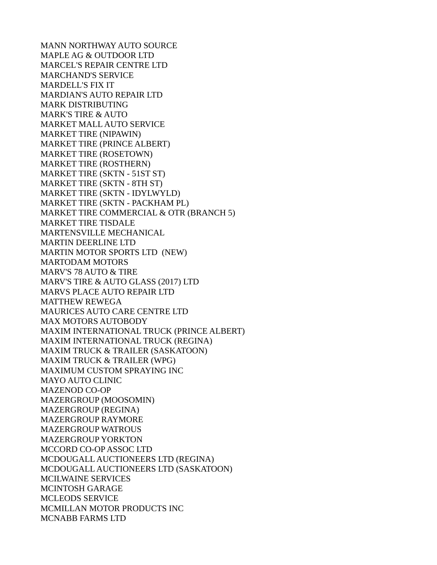MANN NORTHWAY AUTO SOURCE MAPLE AG & OUTDOOR LTD MARCEL'S REPAIR CENTRE LTD MARCHAND'S SERVICE MARDELL'S FIX IT MARDIAN'S AUTO REPAIR LTD MARK DISTRIBUTING MARK'S TIRE & AUTO MARKET MALL AUTO SERVICE MARKET TIRE (NIPAWIN) MARKET TIRE (PRINCE ALBERT) MARKET TIRE (ROSETOWN) MARKET TIRE (ROSTHERN) MARKET TIRE (SKTN - 51ST ST) MARKET TIRE (SKTN - 8TH ST) MARKET TIRE (SKTN - IDYLWYLD) MARKET TIRE (SKTN - PACKHAM PL) MARKET TIRE COMMERCIAL & OTR (BRANCH 5) MARKET TIRE TISDALE MARTENSVILLE MECHANICAL MARTIN DEERLINE LTD MARTIN MOTOR SPORTS LTD (NEW) MARTODAM MOTORS MARV'S 78 AUTO & TIRE MARV'S TIRE & AUTO GLASS (2017) LTD MARVS PLACE AUTO REPAIR LTD MATTHEW REWEGA MAURICES AUTO CARE CENTRE LTD MAX MOTORS AUTOBODY MAXIM INTERNATIONAL TRUCK (PRINCE ALBERT) MAXIM INTERNATIONAL TRUCK (REGINA) MAXIM TRUCK & TRAILER (SASKATOON) MAXIM TRUCK & TRAILER (WPG) MAXIMUM CUSTOM SPRAYING INC MAYO AUTO CLINIC MAZENOD CO-OP MAZERGROUP (MOOSOMIN) MAZERGROUP (REGINA) MAZERGROUP RAYMORE MAZERGROUP WATROUS MAZERGROUP YORKTON MCCORD CO-OP ASSOC LTD MCDOUGALL AUCTIONEERS LTD (REGINA) MCDOUGALL AUCTIONEERS LTD (SASKATOON) MCILWAINE SERVICES MCINTOSH GARAGE MCLEODS SERVICE MCMILLAN MOTOR PRODUCTS INC MCNABB FARMS LTD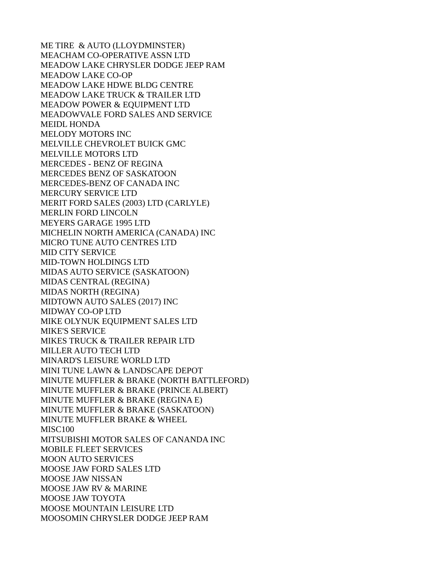ME TIRE & AUTO (LLOYDMINSTER) MEACHAM CO-OPERATIVE ASSN LTD MEADOW LAKE CHRYSLER DODGE JEEP RAM MEADOW LAKE CO-OP MEADOW LAKE HDWE BLDG CENTRE MEADOW LAKE TRUCK & TRAILER LTD MEADOW POWER & EQUIPMENT LTD MEADOWVALE FORD SALES AND SERVICE MEIDL HONDA MELODY MOTORS INC MELVILLE CHEVROLET BUICK GMC MELVILLE MOTORS LTD MERCEDES - BENZ OF REGINA MERCEDES BENZ OF SASKATOON MERCEDES-BENZ OF CANADA INC MERCURY SERVICE LTD MERIT FORD SALES (2003) LTD (CARLYLE) MERLIN FORD LINCOLN MEYERS GARAGE 1995 LTD MICHELIN NORTH AMERICA (CANADA) INC MICRO TUNE AUTO CENTRES LTD MID CITY SERVICE MID-TOWN HOLDINGS LTD MIDAS AUTO SERVICE (SASKATOON) MIDAS CENTRAL (REGINA) MIDAS NORTH (REGINA) MIDTOWN AUTO SALES (2017) INC MIDWAY CO-OP LTD MIKE OLYNUK EQUIPMENT SALES LTD MIKE'S SERVICE MIKES TRUCK & TRAILER REPAIR LTD MILLER AUTO TECH LTD MINARD'S LEISURE WORLD LTD MINI TUNE LAWN & LANDSCAPE DEPOT MINUTE MUFFLER & BRAKE (NORTH BATTLEFORD) MINUTE MUFFLER & BRAKE (PRINCE ALBERT) MINUTE MUFFLER & BRAKE (REGINA E) MINUTE MUFFLER & BRAKE (SASKATOON) MINUTE MUFFLER BRAKE & WHEEL MISC<sub>100</sub> MITSUBISHI MOTOR SALES OF CANANDA INC MOBILE FLEET SERVICES MOON AUTO SERVICES MOOSE JAW FORD SALES LTD MOOSE JAW NISSAN MOOSE JAW RV & MARINE MOOSE JAW TOYOTA MOOSE MOUNTAIN LEISURE LTD MOOSOMIN CHRYSLER DODGE JEEP RAM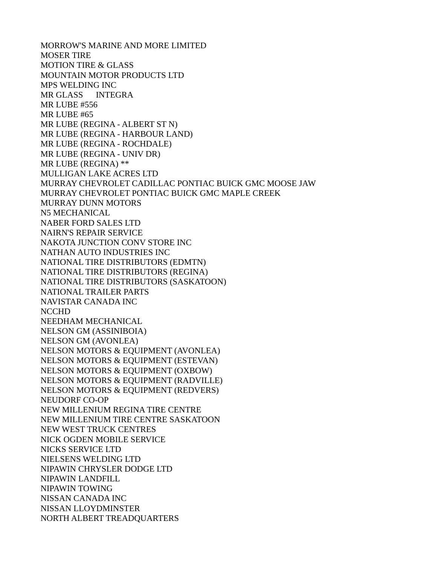MORROW'S MARINE AND MORE LIMITED MOSER TIRE MOTION TIRE & GLASS MOUNTAIN MOTOR PRODUCTS LTD MPS WELDING INC MR GLASS INTEGRA MR LUBE #556 MR LUBE #65 MR LUBE (REGINA - ALBERT ST N) MR LUBE (REGINA - HARBOUR LAND) MR LUBE (REGINA - ROCHDALE) MR LUBE (REGINA - UNIV DR) MR LUBE (REGINA) \*\* MULLIGAN LAKE ACRES LTD MURRAY CHEVROLET CADILLAC PONTIAC BUICK GMC MOOSE JAW MURRAY CHEVROLET PONTIAC BUICK GMC MAPLE CREEK MURRAY DUNN MOTORS N5 MECHANICAL NABER FORD SALES LTD NAIRN'S REPAIR SERVICE NAKOTA JUNCTION CONV STORE INC NATHAN AUTO INDUSTRIES INC NATIONAL TIRE DISTRIBUTORS (EDMTN) NATIONAL TIRE DISTRIBUTORS (REGINA) NATIONAL TIRE DISTRIBUTORS (SASKATOON) NATIONAL TRAILER PARTS NAVISTAR CANADA INC NCCHD NEEDHAM MECHANICAL NELSON GM (ASSINIBOIA) NELSON GM (AVONLEA) NELSON MOTORS & EQUIPMENT (AVONLEA) NELSON MOTORS & EQUIPMENT (ESTEVAN) NELSON MOTORS & EQUIPMENT (OXBOW) NELSON MOTORS & EQUIPMENT (RADVILLE) NELSON MOTORS & EQUIPMENT (REDVERS) NEUDORF CO-OP NEW MILLENIUM REGINA TIRE CENTRE NEW MILLENIUM TIRE CENTRE SASKATOON NEW WEST TRUCK CENTRES NICK OGDEN MOBILE SERVICE NICKS SERVICE LTD NIELSENS WELDING LTD NIPAWIN CHRYSLER DODGE LTD NIPAWIN LANDFILL NIPAWIN TOWING NISSAN CANADA INC NISSAN LLOYDMINSTER NORTH ALBERT TREADQUARTERS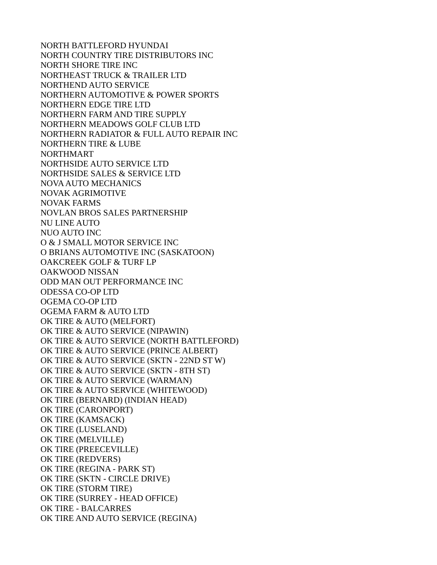NORTH BATTLEFORD HYUNDAI NORTH COUNTRY TIRE DISTRIBUTORS INC NORTH SHORE TIRE INC NORTHEAST TRUCK & TRAILER LTD NORTHEND AUTO SERVICE NORTHERN AUTOMOTIVE & POWER SPORTS NORTHERN EDGE TIRE LTD NORTHERN FARM AND TIRE SUPPLY NORTHERN MEADOWS GOLF CLUB LTD NORTHERN RADIATOR & FULL AUTO REPAIR INC NORTHERN TIRE & LUBE NORTHMART NORTHSIDE AUTO SERVICE LTD NORTHSIDE SALES & SERVICE LTD NOVA AUTO MECHANICS NOVAK AGRIMOTIVE NOVAK FARMS NOVLAN BROS SALES PARTNERSHIP NU LINE AUTO NUO AUTO INC O & J SMALL MOTOR SERVICE INC O BRIANS AUTOMOTIVE INC (SASKATOON) OAKCREEK GOLF & TURF LP OAKWOOD NISSAN ODD MAN OUT PERFORMANCE INC ODESSA CO-OP LTD OGEMA CO-OP LTD OGEMA FARM & AUTO LTD OK TIRE & AUTO (MELFORT) OK TIRE & AUTO SERVICE (NIPAWIN) OK TIRE & AUTO SERVICE (NORTH BATTLEFORD) OK TIRE & AUTO SERVICE (PRINCE ALBERT) OK TIRE & AUTO SERVICE (SKTN - 22ND ST W) OK TIRE & AUTO SERVICE (SKTN - 8TH ST) OK TIRE & AUTO SERVICE (WARMAN) OK TIRE & AUTO SERVICE (WHITEWOOD) OK TIRE (BERNARD) (INDIAN HEAD) OK TIRE (CARONPORT) OK TIRE (KAMSACK) OK TIRE (LUSELAND) OK TIRE (MELVILLE) OK TIRE (PREECEVILLE) OK TIRE (REDVERS) OK TIRE (REGINA - PARK ST) OK TIRE (SKTN - CIRCLE DRIVE) OK TIRE (STORM TIRE) OK TIRE (SURREY - HEAD OFFICE) OK TIRE - BALCARRES OK TIRE AND AUTO SERVICE (REGINA)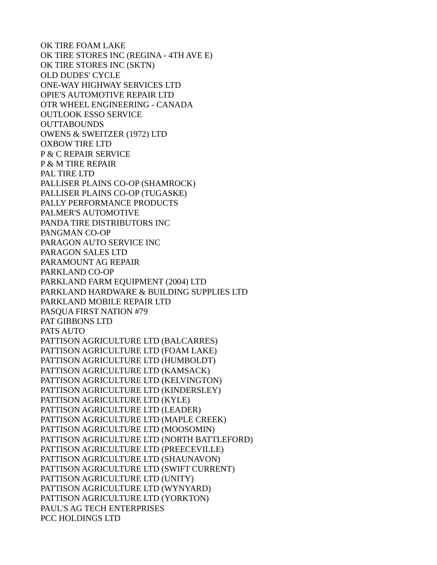OK TIRE FOAM LAKE OK TIRE STORES INC (REGINA - 4TH AVE E) OK TIRE STORES INC (SKTN) OLD DUDES' CYCLE ONE-WAY HIGHWAY SERVICES LTD OPIE'S AUTOMOTIVE REPAIR LTD OTR WHEEL ENGINEERING - CANADA OUTLOOK ESSO SERVICE OUTTABOUNDS OWENS & SWEITZER (1972) LTD OXBOW TIRE LTD P & C REPAIR SERVICE P & M TIRE REPAIR PAL TIRE LTD PALLISER PLAINS CO-OP (SHAMROCK) PALLISER PLAINS CO-OP (TUGASKE) PALLY PERFORMANCE PRODUCTS PALMER'S AUTOMOTIVE PANDA TIRE DISTRIBUTORS INC PANGMAN CO-OP PARAGON AUTO SERVICE INC PARAGON SALES LTD PARAMOUNT AG REPAIR PARKLAND CO-OP PARKLAND FARM EQUIPMENT (2004) LTD PARKLAND HARDWARE & BUILDING SUPPLIES LTD PARKLAND MOBILE REPAIR LTD PASQUA FIRST NATION #79 PAT GIBBONS LTD PATS AUTO PATTISON AGRICULTURE LTD (BALCARRES) PATTISON AGRICULTURE LTD (FOAM LAKE) PATTISON AGRICULTURE LTD (HUMBOLDT) PATTISON AGRICULTURE LTD (KAMSACK) PATTISON AGRICULTURE LTD (KELVINGTON) PATTISON AGRICULTURE LTD (KINDERSLEY) PATTISON AGRICULTURE LTD (KYLE) PATTISON AGRICULTURE LTD (LEADER) PATTISON AGRICULTURE LTD (MAPLE CREEK) PATTISON AGRICULTURE LTD (MOOSOMIN) PATTISON AGRICULTURE LTD (NORTH BATTLEFORD) PATTISON AGRICULTURE LTD (PREECEVILLE) PATTISON AGRICULTURE LTD (SHAUNAVON) PATTISON AGRICULTURE LTD (SWIFT CURRENT) PATTISON AGRICULTURE LTD (UNITY) PATTISON AGRICULTURE LTD (WYNYARD) PATTISON AGRICULTURE LTD (YORKTON) PAUL'S AG TECH ENTERPRISES PCC HOLDINGS LTD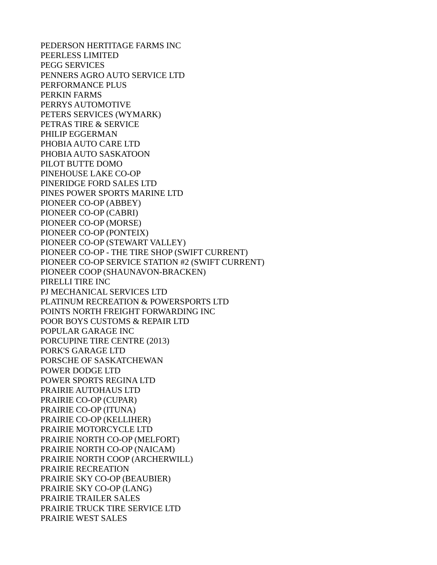PEDERSON HERTITAGE FARMS INC PEERLESS LIMITED PEGG SERVICES PENNERS AGRO AUTO SERVICE LTD PERFORMANCE PLUS PERKIN FARMS PERRYS AUTOMOTIVE PETERS SERVICES (WYMARK) PETRAS TIRE & SERVICE PHILIP EGGERMAN PHOBIA AUTO CARE LTD PHOBIA AUTO SASKATOON PILOT BUTTE DOMO PINEHOUSE LAKE CO-OP PINERIDGE FORD SALES LTD PINES POWER SPORTS MARINE LTD PIONEER CO-OP (ABBEY) PIONEER CO-OP (CABRI) PIONEER CO-OP (MORSE) PIONEER CO-OP (PONTEIX) PIONEER CO-OP (STEWART VALLEY) PIONEER CO-OP - THE TIRE SHOP (SWIFT CURRENT) PIONEER CO-OP SERVICE STATION #2 (SWIFT CURRENT) PIONEER COOP (SHAUNAVON-BRACKEN) PIRELLI TIRE INC PJ MECHANICAL SERVICES LTD PLATINUM RECREATION & POWERSPORTS LTD POINTS NORTH FREIGHT FORWARDING INC POOR BOYS CUSTOMS & REPAIR LTD POPULAR GARAGE INC PORCUPINE TIRE CENTRE (2013) PORK'S GARAGE LTD PORSCHE OF SASKATCHEWAN POWER DODGE LTD POWER SPORTS REGINA LTD PRAIRIE AUTOHAUS LTD PRAIRIE CO-OP (CUPAR) PRAIRIE CO-OP (ITUNA) PRAIRIE CO-OP (KELLIHER) PRAIRIE MOTORCYCLE LTD PRAIRIE NORTH CO-OP (MELFORT) PRAIRIE NORTH CO-OP (NAICAM) PRAIRIE NORTH COOP (ARCHERWILL) PRAIRIE RECREATION PRAIRIE SKY CO-OP (BEAUBIER) PRAIRIE SKY CO-OP (LANG) PRAIRIE TRAILER SALES PRAIRIE TRUCK TIRE SERVICE LTD PRAIRIE WEST SALES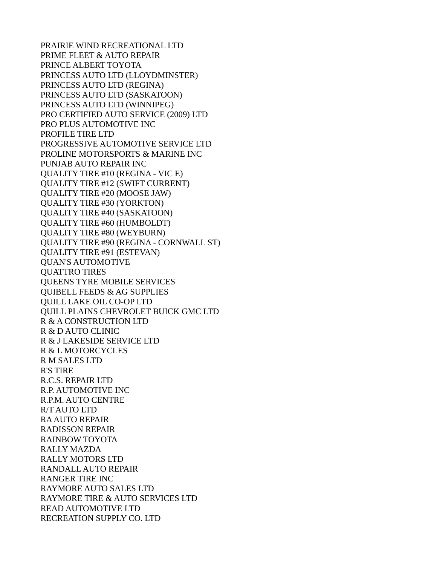PRAIRIE WIND RECREATIONAL LTD PRIME FLEET & AUTO REPAIR PRINCE ALBERT TOYOTA PRINCESS AUTO LTD (LLOYDMINSTER) PRINCESS AUTO LTD (REGINA) PRINCESS AUTO LTD (SASKATOON) PRINCESS AUTO LTD (WINNIPEG) PRO CERTIFIED AUTO SERVICE (2009) LTD PRO PLUS AUTOMOTIVE INC PROFILE TIRE LTD PROGRESSIVE AUTOMOTIVE SERVICE LTD PROLINE MOTORSPORTS & MARINE INC PUNJAB AUTO REPAIR INC QUALITY TIRE #10 (REGINA - VIC E) QUALITY TIRE #12 (SWIFT CURRENT) QUALITY TIRE #20 (MOOSE JAW) QUALITY TIRE #30 (YORKTON) QUALITY TIRE #40 (SASKATOON) QUALITY TIRE #60 (HUMBOLDT) QUALITY TIRE #80 (WEYBURN) QUALITY TIRE #90 (REGINA - CORNWALL ST) QUALITY TIRE #91 (ESTEVAN) QUAN'S AUTOMOTIVE QUATTRO TIRES QUEENS TYRE MOBILE SERVICES QUIBELL FEEDS & AG SUPPLIES QUILL LAKE OIL CO-OP LTD QUILL PLAINS CHEVROLET BUICK GMC LTD R & A CONSTRUCTION LTD R & D AUTO CLINIC R & J LAKESIDE SERVICE LTD R & L MOTORCYCLES R M SALES LTD R'S TIRE R.C.S. REPAIR LTD R.P. AUTOMOTIVE INC R.P.M. AUTO CENTRE R/T AUTO LTD RA AUTO REPAIR RADISSON REPAIR RAINBOW TOYOTA RALLY MAZDA RALLY MOTORS LTD RANDALL AUTO REPAIR RANGER TIRE INC RAYMORE AUTO SALES LTD RAYMORE TIRE & AUTO SERVICES LTD READ AUTOMOTIVE LTD RECREATION SUPPLY CO. LTD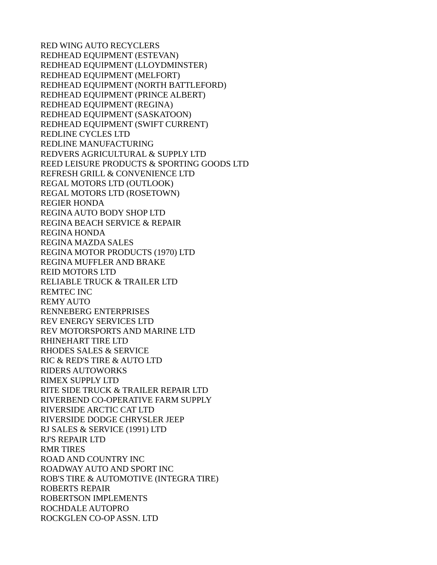RED WING AUTO RECYCLERS REDHEAD EQUIPMENT (ESTEVAN) REDHEAD EQUIPMENT (LLOYDMINSTER) REDHEAD EQUIPMENT (MELFORT) REDHEAD EQUIPMENT (NORTH BATTLEFORD) REDHEAD EQUIPMENT (PRINCE ALBERT) REDHEAD EQUIPMENT (REGINA) REDHEAD EQUIPMENT (SASKATOON) REDHEAD EQUIPMENT (SWIFT CURRENT) REDLINE CYCLES LTD REDLINE MANUFACTURING REDVERS AGRICULTURAL & SUPPLY LTD REED LEISURE PRODUCTS & SPORTING GOODS LTD REFRESH GRILL & CONVENIENCE LTD REGAL MOTORS LTD (OUTLOOK) REGAL MOTORS LTD (ROSETOWN) REGIER HONDA REGINA AUTO BODY SHOP LTD REGINA BEACH SERVICE & REPAIR REGINA HONDA REGINA MAZDA SALES REGINA MOTOR PRODUCTS (1970) LTD REGINA MUFFLER AND BRAKE REID MOTORS LTD RELIABLE TRUCK & TRAILER LTD REMTEC INC REMY AUTO RENNEBERG ENTERPRISES REV ENERGY SERVICES LTD REV MOTORSPORTS AND MARINE LTD RHINEHART TIRE LTD RHODES SALES & SERVICE RIC & RED'S TIRE & AUTO LTD RIDERS AUTOWORKS RIMEX SUPPLY LTD RITE SIDE TRUCK & TRAILER REPAIR LTD RIVERBEND CO-OPERATIVE FARM SUPPLY RIVERSIDE ARCTIC CAT LTD RIVERSIDE DODGE CHRYSLER JEEP RJ SALES & SERVICE (1991) LTD RJ'S REPAIR LTD RMR TIRES ROAD AND COUNTRY INC ROADWAY AUTO AND SPORT INC ROB'S TIRE & AUTOMOTIVE (INTEGRA TIRE) ROBERTS REPAIR ROBERTSON IMPLEMENTS ROCHDALE AUTOPRO ROCKGLEN CO-OP ASSN. LTD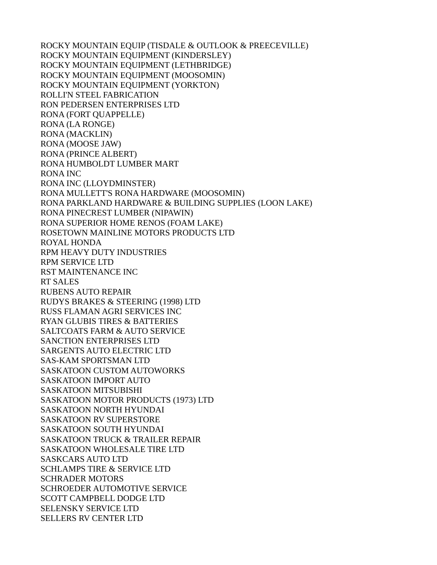ROCKY MOUNTAIN EQUIP (TISDALE & OUTLOOK & PREECEVILLE) ROCKY MOUNTAIN EQUIPMENT (KINDERSLEY) ROCKY MOUNTAIN EQUIPMENT (LETHBRIDGE) ROCKY MOUNTAIN EQUIPMENT (MOOSOMIN) ROCKY MOUNTAIN EQUIPMENT (YORKTON) ROLLI'N STEEL FABRICATION RON PEDERSEN ENTERPRISES LTD RONA (FORT QUAPPELLE) RONA (LA RONGE) RONA (MACKLIN) RONA (MOOSE JAW) RONA (PRINCE ALBERT) RONA HUMBOLDT LUMBER MART RONA INC RONA INC (LLOYDMINSTER) RONA MULLETT'S RONA HARDWARE (MOOSOMIN) RONA PARKLAND HARDWARE & BUILDING SUPPLIES (LOON LAKE) RONA PINECREST LUMBER (NIPAWIN) RONA SUPERIOR HOME RENOS (FOAM LAKE) ROSETOWN MAINLINE MOTORS PRODUCTS LTD ROYAL HONDA RPM HEAVY DUTY INDUSTRIES RPM SERVICE LTD RST MAINTENANCE INC RT SALES RUBENS AUTO REPAIR RUDYS BRAKES & STEERING (1998) LTD RUSS FLAMAN AGRI SERVICES INC RYAN GLUBIS TIRES & BATTERIES SALTCOATS FARM & AUTO SERVICE SANCTION ENTERPRISES LTD SARGENTS AUTO ELECTRIC LTD SAS-KAM SPORTSMAN LTD SASKATOON CUSTOM AUTOWORKS SASKATOON IMPORT AUTO SASKATOON MITSUBISHI SASKATOON MOTOR PRODUCTS (1973) LTD SASKATOON NORTH HYUNDAI SASKATOON RV SUPERSTORE SASKATOON SOUTH HYUNDAI SASKATOON TRUCK & TRAILER REPAIR SASKATOON WHOLESALE TIRE LTD SASKCARS AUTO LTD SCHLAMPS TIRE & SERVICE LTD SCHRADER MOTORS SCHROEDER AUTOMOTIVE SERVICE SCOTT CAMPBELL DODGE LTD SELENSKY SERVICE LTD SELLERS RV CENTER LTD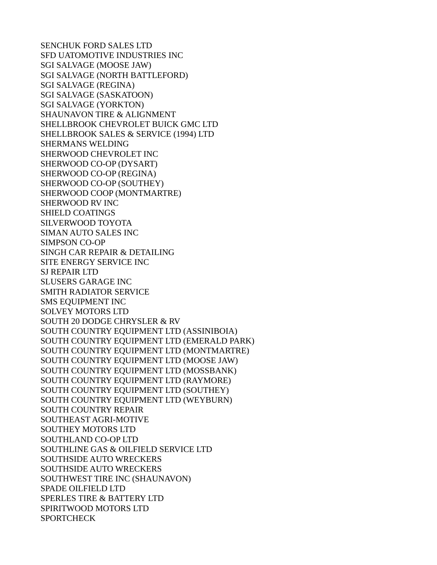SENCHUK FORD SALES LTD SFD UATOMOTIVE INDUSTRIES INC SGI SALVAGE (MOOSE JAW) SGI SALVAGE (NORTH BATTLEFORD) SGI SALVAGE (REGINA) SGI SALVAGE (SASKATOON) SGI SALVAGE (YORKTON) SHAUNAVON TIRE & ALIGNMENT SHELLBROOK CHEVROLET BUICK GMC LTD SHELLBROOK SALES & SERVICE (1994) LTD SHERMANS WELDING SHERWOOD CHEVROLET INC SHERWOOD CO-OP (DYSART) SHERWOOD CO-OP (REGINA) SHERWOOD CO-OP (SOUTHEY) SHERWOOD COOP (MONTMARTRE) SHERWOOD RV INC SHIELD COATINGS SILVERWOOD TOYOTA SIMAN AUTO SALES INC SIMPSON CO-OP SINGH CAR REPAIR & DETAILING SITE ENERGY SERVICE INC SJ REPAIR LTD SLUSERS GARAGE INC SMITH RADIATOR SERVICE SMS EQUIPMENT INC SOLVEY MOTORS LTD SOUTH 20 DODGE CHRYSLER & RV SOUTH COUNTRY EQUIPMENT LTD (ASSINIBOIA) SOUTH COUNTRY EQUIPMENT LTD (EMERALD PARK) SOUTH COUNTRY EQUIPMENT LTD (MONTMARTRE) SOUTH COUNTRY EQUIPMENT LTD (MOOSE JAW) SOUTH COUNTRY EQUIPMENT LTD (MOSSBANK) SOUTH COUNTRY EQUIPMENT LTD (RAYMORE) SOUTH COUNTRY EQUIPMENT LTD (SOUTHEY) SOUTH COUNTRY EQUIPMENT LTD (WEYBURN) SOUTH COUNTRY REPAIR SOUTHEAST AGRI-MOTIVE SOUTHEY MOTORS LTD SOUTHLAND CO-OP LTD SOUTHLINE GAS & OILFIELD SERVICE LTD SOUTHSIDE AUTO WRECKERS SOUTHSIDE AUTO WRECKERS SOUTHWEST TIRE INC (SHAUNAVON) SPADE OILFIELD LTD SPERLES TIRE & BATTERY LTD SPIRITWOOD MOTORS LTD SPORTCHECK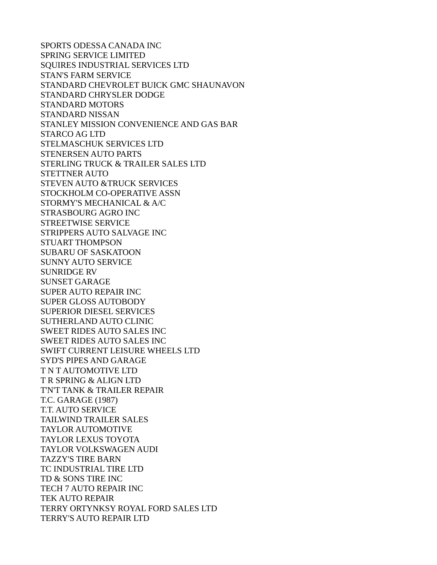SPORTS ODESSA CANADA INC SPRING SERVICE LIMITED SQUIRES INDUSTRIAL SERVICES LTD STAN'S FARM SERVICE STANDARD CHEVROLET BUICK GMC SHAUNAVON STANDARD CHRYSLER DODGE STANDARD MOTORS STANDARD NISSAN STANLEY MISSION CONVENIENCE AND GAS BAR STARCO AG LTD STELMASCHUK SERVICES LTD STENERSEN AUTO PARTS STERLING TRUCK & TRAILER SALES LTD STETTNER AUTO STEVEN AUTO &TRUCK SERVICES STOCKHOLM CO-OPERATIVE ASSN STORMY'S MECHANICAL & A/C STRASBOURG AGRO INC STREETWISE SERVICE STRIPPERS AUTO SALVAGE INC STUART THOMPSON SUBARU OF SASKATOON SUNNY AUTO SERVICE SUNRIDGE RV SUNSET GARAGE SUPER AUTO REPAIR INC SUPER GLOSS AUTOBODY SUPERIOR DIESEL SERVICES SUTHERLAND AUTO CLINIC SWEET RIDES AUTO SALES INC SWEET RIDES AUTO SALES INC SWIFT CURRENT LEISURE WHEELS LTD SYD'S PIPES AND GARAGE T N T AUTOMOTIVE LTD T R SPRING & ALIGN LTD T'N'T TANK & TRAILER REPAIR T.C. GARAGE (1987) T.T. AUTO SERVICE TAILWIND TRAILER SALES TAYLOR AUTOMOTIVE TAYLOR LEXUS TOYOTA TAYLOR VOLKSWAGEN AUDI TAZZY'S TIRE BARN TC INDUSTRIAL TIRE LTD TD & SONS TIRE INC TECH 7 AUTO REPAIR INC TEK AUTO REPAIR TERRY ORTYNKSY ROYAL FORD SALES LTD TERRY'S AUTO REPAIR LTD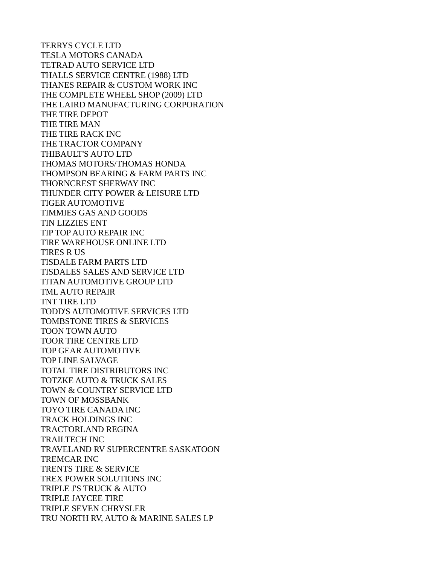TERRYS CYCLE LTD TESLA MOTORS CANADA TETRAD AUTO SERVICE LTD THALLS SERVICE CENTRE (1988) LTD THANES REPAIR & CUSTOM WORK INC THE COMPLETE WHEEL SHOP (2009) LTD THE LAIRD MANUFACTURING CORPORATION THE TIRE DEPOT THE TIRE MAN THE TIRE RACK INC THE TRACTOR COMPANY THIBAULT'S AUTO LTD THOMAS MOTORS/THOMAS HONDA THOMPSON BEARING & FARM PARTS INC THORNCREST SHERWAY INC THUNDER CITY POWER & LEISURE LTD TIGER AUTOMOTIVE TIMMIES GAS AND GOODS TIN LIZZIES ENT TIP TOP AUTO REPAIR INC TIRE WAREHOUSE ONLINE LTD TIRES R US TISDALE FARM PARTS LTD TISDALES SALES AND SERVICE LTD TITAN AUTOMOTIVE GROUP LTD TML AUTO REPAIR TNT TIRE LTD TODD'S AUTOMOTIVE SERVICES LTD TOMBSTONE TIRES & SERVICES TOON TOWN AUTO TOOR TIRE CENTRE LTD TOP GEAR AUTOMOTIVE TOP LINE SALVAGE TOTAL TIRE DISTRIBUTORS INC TOTZKE AUTO & TRUCK SALES TOWN & COUNTRY SERVICE LTD TOWN OF MOSSBANK TOYO TIRE CANADA INC TRACK HOLDINGS INC TRACTORLAND REGINA TRAILTECH INC TRAVELAND RV SUPERCENTRE SASKATOON TREMCAR INC TRENTS TIRE & SERVICE TREX POWER SOLUTIONS INC TRIPLE J'S TRUCK & AUTO TRIPLE JAYCEE TIRE TRIPLE SEVEN CHRYSLER TRU NORTH RV, AUTO & MARINE SALES LP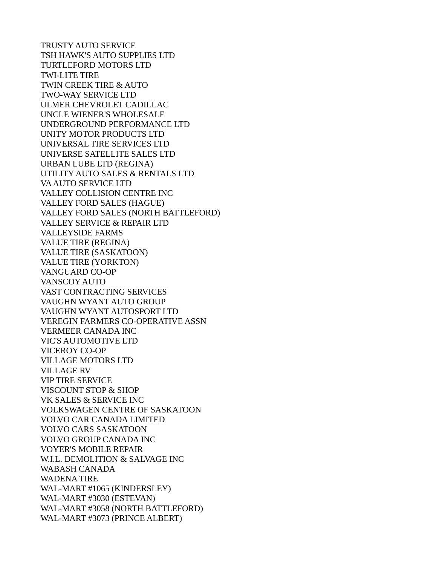TRUSTY AUTO SERVICE TSH HAWK'S AUTO SUPPLIES LTD TURTLEFORD MOTORS LTD TWI-LITE TIRE TWIN CREEK TIRE & AUTO TWO-WAY SERVICE LTD ULMER CHEVROLET CADILLAC UNCLE WIENER'S WHOLESALE UNDERGROUND PERFORMANCE LTD UNITY MOTOR PRODUCTS LTD UNIVERSAL TIRE SERVICES LTD UNIVERSE SATELLITE SALES LTD URBAN LUBE LTD (REGINA) UTILITY AUTO SALES & RENTALS LTD VA AUTO SERVICE LTD VALLEY COLLISION CENTRE INC VALLEY FORD SALES (HAGUE) VALLEY FORD SALES (NORTH BATTLEFORD) VALLEY SERVICE & REPAIR LTD VALLEYSIDE FARMS VALUE TIRE (REGINA) VALUE TIRE (SASKATOON) VALUE TIRE (YORKTON) VANGUARD CO-OP VANSCOY AUTO VAST CONTRACTING SERVICES VAUGHN WYANT AUTO GROUP VAUGHN WYANT AUTOSPORT LTD VEREGIN FARMERS CO-OPERATIVE ASSN VERMEER CANADA INC VIC'S AUTOMOTIVE LTD VICEROY CO-OP VILLAGE MOTORS LTD VILLAGE RV VIP TIRE SERVICE VISCOUNT STOP & SHOP VK SALES & SERVICE INC VOLKSWAGEN CENTRE OF SASKATOON VOLVO CAR CANADA LIMITED VOLVO CARS SASKATOON VOLVO GROUP CANADA INC VOYER'S MOBILE REPAIR W.I.L. DEMOLITION & SALVAGE INC WABASH CANADA WADENA TIRE WAL-MART #1065 (KINDERSLEY) WAL-MART #3030 (ESTEVAN) WAL-MART #3058 (NORTH BATTLEFORD) WAL-MART #3073 (PRINCE ALBERT)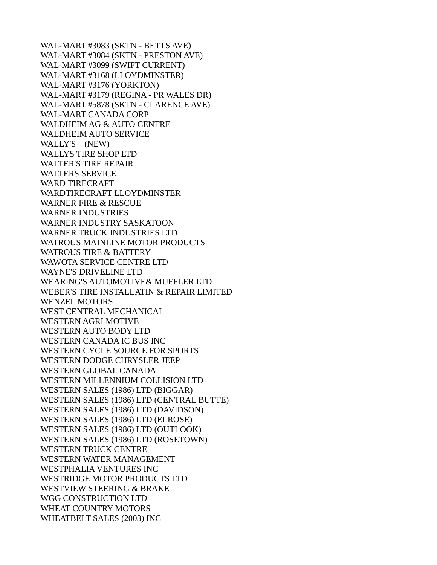WAL-MART #3083 (SKTN - BETTS AVE) WAL-MART #3084 (SKTN - PRESTON AVE) WAL-MART #3099 (SWIFT CURRENT) WAL-MART #3168 (LLOYDMINSTER) WAL-MART #3176 (YORKTON) WAL-MART #3179 (REGINA - PR WALES DR) WAL-MART #5878 (SKTN - CLARENCE AVE) WAL-MART CANADA CORP WALDHEIM AG & AUTO CENTRE WALDHEIM AUTO SERVICE WALLY'S (NEW) WALLYS TIRE SHOP LTD WALTER'S TIRE REPAIR WALTERS SERVICE WARD TIRECRAFT WARDTIRECRAFT LLOYDMINSTER WARNER FIRE & RESCUE WARNER INDUSTRIES WARNER INDUSTRY SASKATOON WARNER TRUCK INDUSTRIES LTD WATROUS MAINLINE MOTOR PRODUCTS WATROUS TIRE & BATTERY WAWOTA SERVICE CENTRE LTD WAYNE'S DRIVELINE LTD WEARING'S AUTOMOTIVE& MUFFLER LTD WEBER'S TIRE INSTALLATIN & REPAIR LIMITED WENZEL MOTORS WEST CENTRAL MECHANICAL WESTERN AGRI MOTIVE WESTERN AUTO BODY LTD WESTERN CANADA IC BUS INC WESTERN CYCLE SOURCE FOR SPORTS WESTERN DODGE CHRYSLER JEEP WESTERN GLOBAL CANADA WESTERN MILLENNIUM COLLISION LTD WESTERN SALES (1986) LTD (BIGGAR) WESTERN SALES (1986) LTD (CENTRAL BUTTE) WESTERN SALES (1986) LTD (DAVIDSON) WESTERN SALES (1986) LTD (ELROSE) WESTERN SALES (1986) LTD (OUTLOOK) WESTERN SALES (1986) LTD (ROSETOWN) WESTERN TRUCK CENTRE WESTERN WATER MANAGEMENT WESTPHALIA VENTURES INC WESTRIDGE MOTOR PRODUCTS LTD WESTVIEW STEERING & BRAKE WGG CONSTRUCTION LTD WHEAT COUNTRY MOTORS WHEATBELT SALES (2003) INC